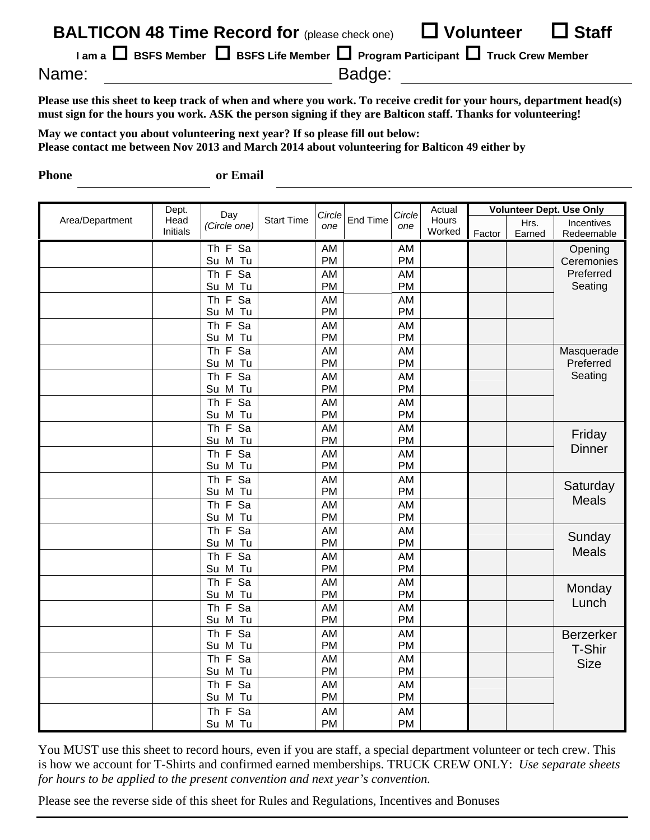| <b>BALTICON 48 Time Record for (please check one)</b>                                          | $\Box$ Staff<br>$\Box$ Volunteer |  |  |  |  |  |  |  |
|------------------------------------------------------------------------------------------------|----------------------------------|--|--|--|--|--|--|--|
| $\Box$ BSFS Member $\Box$ BSFS Life Member $\Box$ Program Participant $\Box$ Truck Crew Member |                                  |  |  |  |  |  |  |  |
| Name:                                                                                          | Badge:                           |  |  |  |  |  |  |  |

**Please use this sheet to keep track of when and where you work. To receive credit for your hours, department head(s) must sign for the hours you work. ASK the person signing if they are Balticon staff. Thanks for volunteering!** 

**May we contact you about volunteering next year? If so please fill out below: Please contact me between Nov 2013 and March 2014 about volunteering for Balticon 49 either by** 

**Phone or Email** 

|                 | Dept.            |                                                |                   | Circle          |          | Circle          | Actual          | <b>Volunteer Dept. Use Only</b> |                |                                           |
|-----------------|------------------|------------------------------------------------|-------------------|-----------------|----------|-----------------|-----------------|---------------------------------|----------------|-------------------------------------------|
| Area/Department | Head<br>Initials | Day<br>(Circle one)                            | <b>Start Time</b> | one             | End Time | one             | Hours<br>Worked | Factor                          | Hrs.<br>Earned | Incentives<br>Redeemable                  |
|                 |                  | Th F Sa<br>Su M Tu                             |                   | AM<br>PM        |          | AM<br>PM        |                 |                                 |                | Opening<br>Ceremonies                     |
|                 |                  | Th F Sa                                        |                   | AM              |          | AM              |                 |                                 |                | Preferred<br>Seating                      |
|                 |                  | Su M Tu                                        |                   | PM              |          | PM              |                 |                                 |                |                                           |
|                 |                  | Th F Sa                                        |                   | <b>AM</b>       |          | AM              |                 |                                 |                |                                           |
|                 |                  | Su M Tu                                        |                   | PM              |          | PM              |                 |                                 |                |                                           |
|                 |                  | Th $F$<br>$\overline{sa}$                      |                   | AM              |          | AM              |                 |                                 |                |                                           |
|                 |                  | Su M Tu                                        |                   | PM              |          | PM              |                 |                                 |                |                                           |
|                 |                  | Th F Sa<br>Su M Tu                             |                   | AM<br><b>PM</b> |          | AM<br>PM        |                 |                                 |                | Masquerade<br>Preferred                   |
|                 |                  | $\overline{Sa}$<br>Th $F$                      |                   | AM              |          | AM              |                 |                                 |                | Seating                                   |
|                 |                  | Su M Tu                                        |                   | PM              |          | PM              |                 |                                 |                |                                           |
|                 |                  | Th F Sa                                        |                   | AM              |          | AM              |                 |                                 |                |                                           |
|                 |                  | Su M Tu                                        |                   | PM              |          | PM              |                 |                                 |                |                                           |
|                 |                  | Th F Sa                                        |                   | AM              |          | AM              |                 |                                 |                | Friday<br><b>Dinner</b>                   |
|                 |                  | Su M Tu                                        |                   | PM              |          | PM              |                 |                                 |                |                                           |
|                 |                  | Th $F$<br>Sa                                   |                   | AM              |          | AM              |                 |                                 |                |                                           |
|                 |                  | Su M Tu                                        |                   | <b>PM</b>       |          | PM              |                 |                                 |                |                                           |
|                 |                  | Th $F$<br>Sa                                   |                   | AM              |          | AM              |                 |                                 |                | Saturday<br><b>Meals</b>                  |
|                 |                  | Su M Tu                                        |                   | PM              |          | PM              |                 |                                 |                |                                           |
|                 |                  | Th F Sa                                        |                   | AM              |          | AM              |                 |                                 |                |                                           |
|                 |                  | Su M Tu<br>Th $F$<br>$\overline{Sa}$           |                   | PM              |          | PM              |                 |                                 |                |                                           |
|                 |                  | Su M Tu                                        |                   | AM<br><b>PM</b> |          | AM<br>PM        |                 |                                 |                | Sunday<br><b>Meals</b>                    |
|                 |                  | Th F Sa                                        |                   | AM              |          | AM              |                 |                                 |                |                                           |
|                 |                  | Su M Tu                                        |                   | PM              |          | PM              |                 |                                 |                |                                           |
|                 |                  | Th $F$<br>$\overline{Sa}$                      |                   | AM              |          | AM              |                 |                                 |                | Monday<br>Lunch                           |
|                 |                  | Su M Tu                                        |                   | <b>PM</b>       |          | PM              |                 |                                 |                |                                           |
|                 |                  | Th $F$<br>Sa                                   |                   | AM              |          | AM              |                 |                                 |                |                                           |
|                 |                  | Su M Tu                                        |                   | PM              |          | PM              |                 |                                 |                |                                           |
|                 |                  | $\overline{Sa}$<br>Th $F$                      |                   | AM              |          | AM              |                 |                                 |                | <b>Berzerker</b><br>T-Shir<br><b>Size</b> |
|                 |                  | Su M Tu                                        |                   | <b>PM</b>       |          | <b>PM</b>       |                 |                                 |                |                                           |
|                 |                  | $\overline{F}$<br>$\overline{Sa}$<br><b>Th</b> |                   | <b>AM</b>       |          | <b>AM</b>       |                 |                                 |                |                                           |
|                 |                  | Su M Tu                                        |                   | <b>PM</b>       |          | PM              |                 |                                 |                |                                           |
|                 |                  | Th $F$<br>$\overline{Sa}$                      |                   | AM              |          | AM              |                 |                                 |                |                                           |
|                 |                  | Su M Tu                                        |                   | PM              |          | PM              |                 |                                 |                |                                           |
|                 |                  | Th $F$<br>Sa<br>Su M Tu                        |                   | AM<br><b>PM</b> |          | AM<br><b>PM</b> |                 |                                 |                |                                           |
|                 |                  |                                                |                   |                 |          |                 |                 |                                 |                |                                           |

You MUST use this sheet to record hours, even if you are staff, a special department volunteer or tech crew. This is how we account for T-Shirts and confirmed earned memberships. TRUCK CREW ONLY: *Use separate sheets for hours to be applied to the present convention and next year's convention.*

Please see the reverse side of this sheet for Rules and Regulations, Incentives and Bonuses